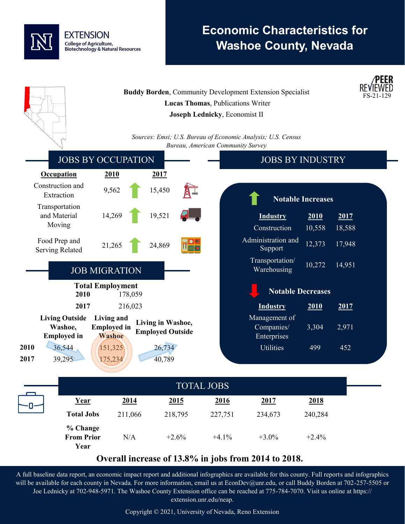

# **Economic Characteristics for Washoe County, Nevada**



### **Overall increase of 13.8% in jobs from 2014 to 2018.**

A full baseline data report, an economic impact report and additional infographics are available for this county. Full reports and infographics will be available for each county in Nevada. For more information, email us at EconDev@unr.edu, or call Buddy Borden at 702-257-5505 or Joe Lednicky at 702-948-5971. The Washoe County Extension office can be reached at 775-784-7070. Visit us online at https:// extension.unr.edu/neap.

Copyright © 2021, University of Nevada, Reno Extension